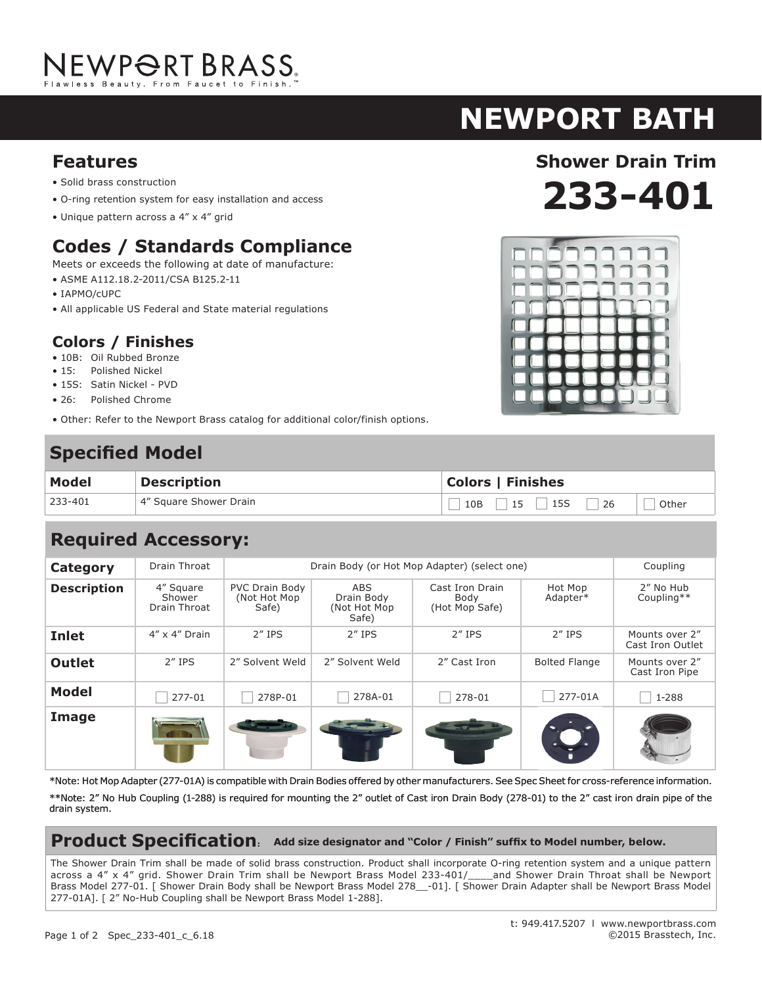# NEWPORT BRASS.

# **newport bath**

- Solid brass construction
- O-ring retention system for easy installation and access
- Unique pattern across a 4" x 4" grid

## **Codes / Standards Compliance**

Meets or exceeds the following at date of manufacture:

- ASME A112.18.2-2011/CSA B125.2-11
- IAPMO/cUPC
- All applicable US Federal and State material regulations

#### **Colors / Finishes**

- 10B: Oil Rubbed Bronze
- 15: Polished Nickel
- 15S: Satin Nickel PVD
- 26: Polished Chrome
- Other: Refer to the Newport Brass catalog for additional color/finish options.

## **Specified Model**

| <b>Model</b> | <b>Description</b>     | <b>Colors   Finishes</b>                                 |  |  |
|--------------|------------------------|----------------------------------------------------------|--|--|
| 233-401      | 4" Square Shower Drain | $\vert$ 15S<br>$\vert$ 15 $\vert$<br>10B<br> 26<br>Other |  |  |

## **Required Accessory:**

| <b>Category</b>    | Drain Throat                        | Drain Body (or Hot Mop Adapter) (select one)    |                                             |                                           |                      | Coupling                           |
|--------------------|-------------------------------------|-------------------------------------------------|---------------------------------------------|-------------------------------------------|----------------------|------------------------------------|
| <b>Description</b> | 4" Square<br>Shower<br>Drain Throat | <b>PVC Drain Body</b><br>(Not Hot Mop)<br>Safe) | ABS.<br>Drain Body<br>(Not Hot Mop<br>Safe) | Cast Iron Drain<br>Body<br>(Hot Mop Safe) | Hot Mop<br>Adapter*  | 2" No Hub<br>Coupling**            |
| <b>Inlet</b>       | $4'' \times 4''$ Drain              | $2''$ IPS                                       | $2''$ IPS                                   | $2''$ IPS                                 | $2''$ IPS            | Mounts over 2"<br>Cast Iron Outlet |
| <b>Outlet</b>      | $2''$ IPS                           | 2" Solvent Weld                                 | 2" Solvent Weld                             | 2" Cast Iron                              | <b>Bolted Flange</b> | Mounts over 2"<br>Cast Iron Pipe   |
| <b>Model</b>       | 277-01                              | 278P-01                                         | 278A-01                                     | 278-01                                    | 277-01A              | 1-288                              |
| Image              |                                     |                                                 |                                             |                                           |                      |                                    |

\*Note: Hot Mop Adapter (277-01A) is compatible with Drain Bodies offered by other manufacturers. See Spec Sheet for cross-reference information.

\*\*Note: 2" No Hub Coupling (1-288) is required for mounting the 2" outlet of Cast iron Drain Body (278-01) to the 2" cast iron drain pipe of the drain system.

#### **Product Specification: Add size designator and "Color / Finish" suffix to Model number, below.**

The Shower Drain Trim shall be made of solid brass construction. Product shall incorporate O-ring retention system and a unique pattern across a 4" x 4" grid. Shower Drain Trim shall be Newport Brass Model 233-401/\_\_\_and Shower Drain Throat shall be Newport Brass Model 277-01. [ Shower Drain Body shall be Newport Brass Model 278\_\_-01]. [ Shower Drain Adapter shall be Newport Brass Model 277-01A]. [ 2" No-Hub Coupling shall be Newport Brass Model 1-288].